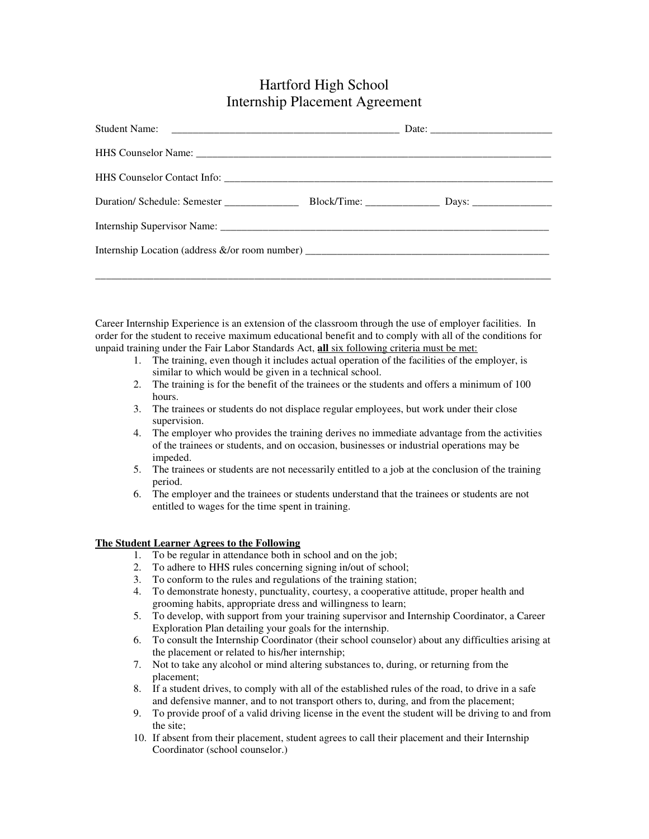## Hartford High School Internship Placement Agreement

Career Internship Experience is an extension of the classroom through the use of employer facilities. In order for the student to receive maximum educational benefit and to comply with all of the conditions for unpaid training under the Fair Labor Standards Act, **all** six following criteria must be met:

- 1. The training, even though it includes actual operation of the facilities of the employer, is similar to which would be given in a technical school.
- 2. The training is for the benefit of the trainees or the students and offers a minimum of 100 hours.
- 3. The trainees or students do not displace regular employees, but work under their close supervision.
- 4. The employer who provides the training derives no immediate advantage from the activities of the trainees or students, and on occasion, businesses or industrial operations may be impeded.
- 5. The trainees or students are not necessarily entitled to a job at the conclusion of the training period.
- 6. The employer and the trainees or students understand that the trainees or students are not entitled to wages for the time spent in training.

#### **The Student Learner Agrees to the Following**

- 1. To be regular in attendance both in school and on the job;
- 2. To adhere to HHS rules concerning signing in/out of school;
- 3. To conform to the rules and regulations of the training station;
- 4. To demonstrate honesty, punctuality, courtesy, a cooperative attitude, proper health and grooming habits, appropriate dress and willingness to learn;
- 5. To develop, with support from your training supervisor and Internship Coordinator, a Career Exploration Plan detailing your goals for the internship.
- 6. To consult the Internship Coordinator (their school counselor) about any difficulties arising at the placement or related to his/her internship;
- 7. Not to take any alcohol or mind altering substances to, during, or returning from the placement;
- 8. If a student drives, to comply with all of the established rules of the road, to drive in a safe and defensive manner, and to not transport others to, during, and from the placement;
- 9. To provide proof of a valid driving license in the event the student will be driving to and from the site;
- 10. If absent from their placement, student agrees to call their placement and their Internship Coordinator (school counselor.)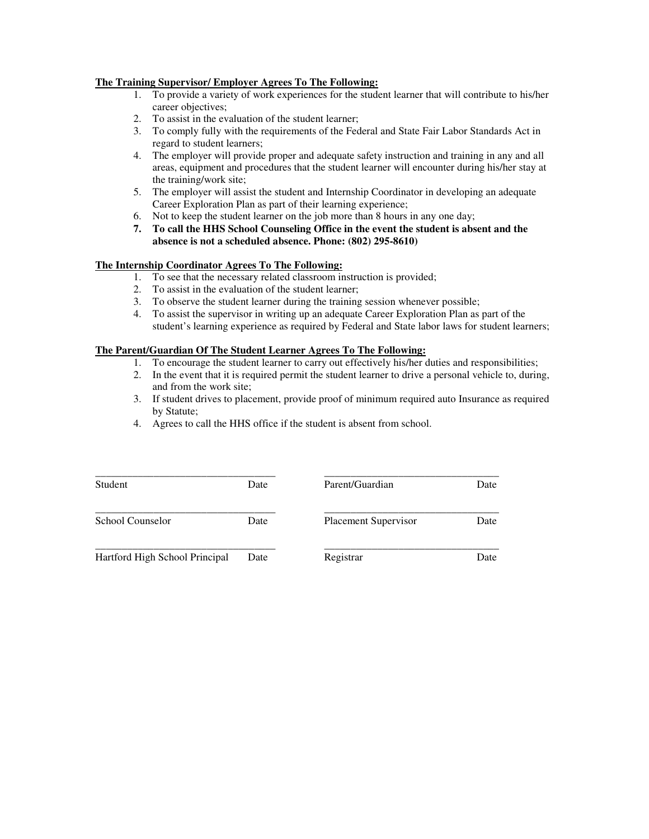#### **The Training Supervisor/ Employer Agrees To The Following:**

- 1. To provide a variety of work experiences for the student learner that will contribute to his/her career objectives;
- 2. To assist in the evaluation of the student learner;
- 3. To comply fully with the requirements of the Federal and State Fair Labor Standards Act in regard to student learners;
- 4. The employer will provide proper and adequate safety instruction and training in any and all areas, equipment and procedures that the student learner will encounter during his/her stay at the training/work site;
- 5. The employer will assist the student and Internship Coordinator in developing an adequate Career Exploration Plan as part of their learning experience;
- 6. Not to keep the student learner on the job more than 8 hours in any one day;
- **7. To call the HHS School Counseling Office in the event the student is absent and the absence is not a scheduled absence. Phone: (802) 295-8610)**

### **The Internship Coordinator Agrees To The Following:**

- 1. To see that the necessary related classroom instruction is provided;
- 2. To assist in the evaluation of the student learner;
- 3. To observe the student learner during the training session whenever possible;
- 4. To assist the supervisor in writing up an adequate Career Exploration Plan as part of the student's learning experience as required by Federal and State labor laws for student learners;

### **The Parent/Guardian Of The Student Learner Agrees To The Following:**

- 1. To encourage the student learner to carry out effectively his/her duties and responsibilities;
- 2. In the event that it is required permit the student learner to drive a personal vehicle to, during, and from the work site;
- 3. If student drives to placement, provide proof of minimum required auto Insurance as required by Statute;
- 4. Agrees to call the HHS office if the student is absent from school.

| Student                        | Date | Parent/Guardian             | Date |
|--------------------------------|------|-----------------------------|------|
| School Counselor               | Date | <b>Placement Supervisor</b> | Date |
| Hartford High School Principal | Date | Registrar                   | Date |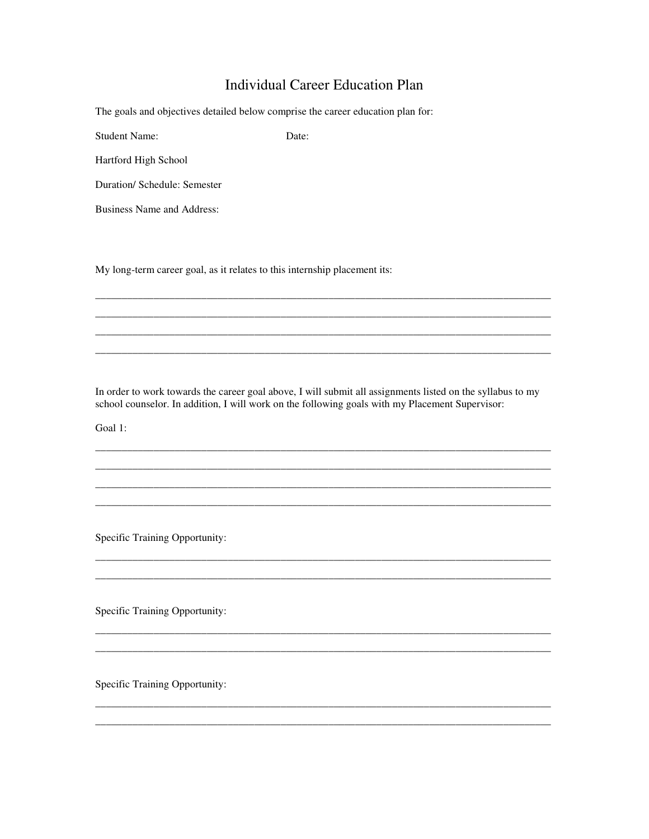# **Individual Career Education Plan**

Date:

The goals and objectives detailed below comprise the career education plan for:

**Student Name:** 

Hartford High School

Duration/ Schedule: Semester

**Business Name and Address:** 

My long-term career goal, as it relates to this internship placement its:

In order to work towards the career goal above, I will submit all assignments listed on the syllabus to my school counselor. In addition, I will work on the following goals with my Placement Supervisor:

Goal 1:

Specific Training Opportunity:

Specific Training Opportunity:

Specific Training Opportunity: